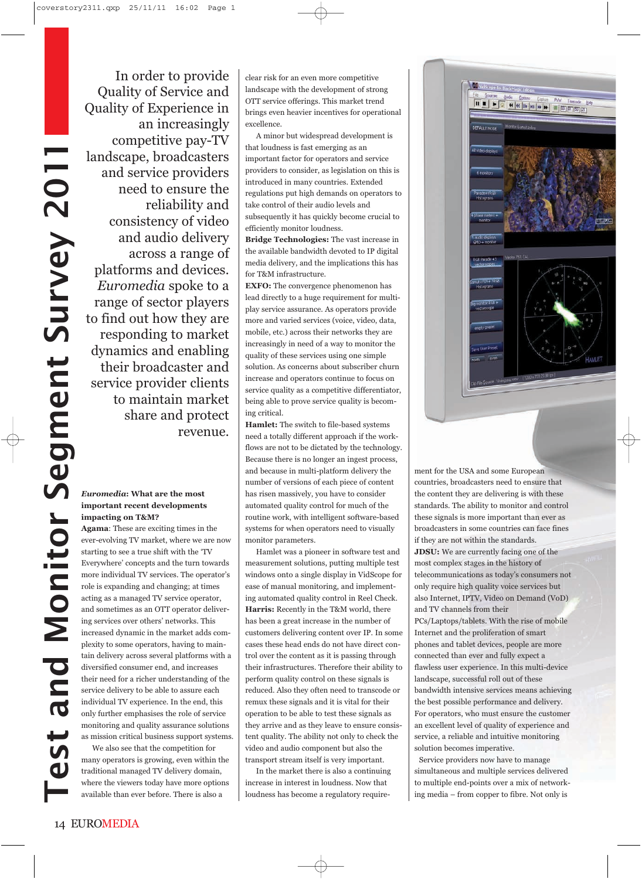In order to provide Quality of Service and Quality of Experience in an increasingly competitive pay-TV landscape, broadcasters and service providers need to ensure the reliability and consistency of video and audio delivery across a range of platforms and devices. *Euromedia* spoke to a range of sector players to find out how they are responding to market dynamics and enabling their broadcaster and service provider clients to maintain market share and protect revenue.

## *Euromedia***: What are the most important recent developments impacting on T&M?**

**Agama**: These are exciting times in the ever-evolving TV market, where we are now starting to see a true shift with the 'TV Everywhere' concepts and the turn towards more individual TV services. The operator's role is expanding and changing; at times acting as a managed TV service operator, and sometimes as an OTT operator delivering services over others' networks. This increased dynamic in the market adds complexity to some operators, having to maintain delivery across several platforms with a diversified consumer end, and increases their need for a richer understanding of the service delivery to be able to assure each individual TV experience. In the end, this only further emphasises the role of service monitoring and quality assurance solutions as mission critical business support systems.

We also see that the competition for many operators is growing, even within the traditional managed TV delivery domain, where the viewers today have more options available than ever before. There is also a

clear risk for an even more competitive landscape with the development of strong OTT service offerings. This market trend brings even heavier incentives for operational excellence.

A minor but widespread development is that loudness is fast emerging as an important factor for operators and service providers to consider, as legislation on this is introduced in many countries. Extended regulations put high demands on operators to take control of their audio levels and subsequently it has quickly become crucial to efficiently monitor loudness.

**Bridge Technologies:** The vast increase in the available bandwidth devoted to IP digital media delivery, and the implications this has for T&M infrastructure.

**EXFO:** The convergence phenomenon has lead directly to a huge requirement for multiplay service assurance. As operators provide more and varied services (voice, video, data, mobile, etc.) across their networks they are increasingly in need of a way to monitor the quality of these services using one simple solution. As concerns about subscriber churn increase and operators continue to focus on service quality as a competitive differentiator, being able to prove service quality is becoming critical.

**Hamlet:** The switch to file-based systems need a totally different approach if the workflows are not to be dictated by the technology. Because there is no longer an ingest process, and because in multi-platform delivery the number of versions of each piece of content has risen massively, you have to consider automated quality control for much of the routine work, with intelligent software-based systems for when operators need to visually monitor parameters.

Hamlet was a pioneer in software test and measurement solutions, putting multiple test windows onto a single display in VidScope for ease of manual monitoring, and implementing automated quality control in Reel Check. **Harris:** Recently in the T&M world, there has been a great increase in the number of customers delivering content over IP. In some cases these head ends do not have direct control over the content as it is passing through their infrastructures. Therefore their ability to perform quality control on these signals is reduced. Also they often need to transcode or remux these signals and it is vital for their operation to be able to test these signals as they arrive and as they leave to ensure consistent quality. The ability not only to check the video and audio component but also the transport stream itself is very important.

In the market there is also a continuing increase in interest in loudness. Now that loudness has become a regulatory require-



**Weblington** 

ment for the USA and some European countries, broadcasters need to ensure that the content they are delivering is with these standards. The ability to monitor and control these signals is more important than ever as broadcasters in some countries can face fines if they are not within the standards. **JDSU:** We are currently facing one of the most complex stages in the history of telecommunications as today's consumers not only require high quality voice services but also Internet, IPTV, Video on Demand (VoD) and TV channels from their PCs/Laptops/tablets. With the rise of mobile Internet and the proliferation of smart phones and tablet devices, people are more connected than ever and fully expect a flawless user experience. In this multi-device landscape, successful roll out of these bandwidth intensive services means achieving the best possible performance and delivery. For operators, who must ensure the customer an excellent level of quality of experience and service, a reliable and intuitive monitoring solution becomes imperative.

Service providers now have to manage simultaneous and multiple services delivered to multiple end-points over a mix of networking media – from copper to fibre. Not only is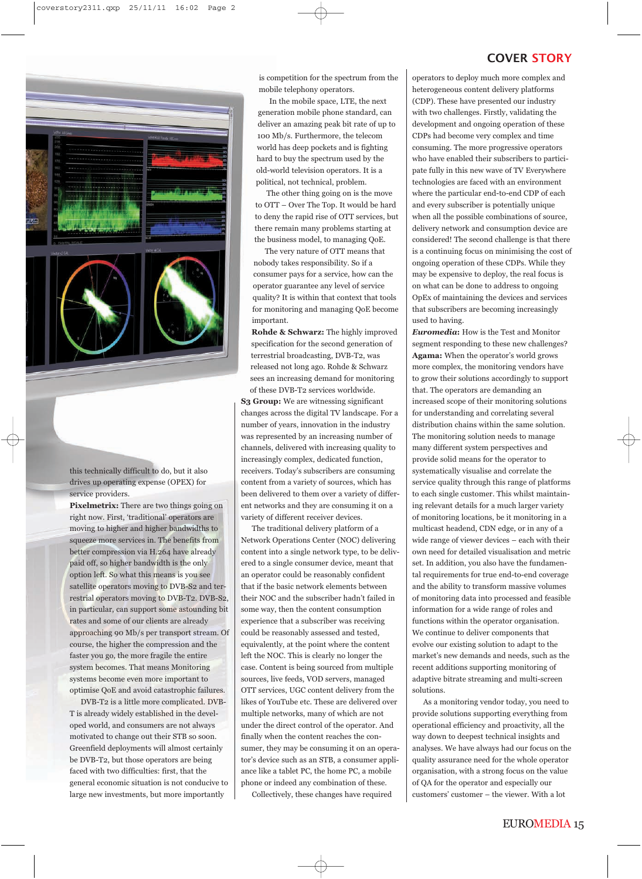

this technically difficult to do, but it also drives up operating expense (OPEX) for service providers.

**Pixelmetrix:** There are two things going on right now. First, 'traditional' operators are moving to higher and higher bandwidths to squeeze more services in. The benefits from better compression via H.264 have already paid off, so higher bandwidth is the only option left. So what this means is you see satellite operators moving to DVB-S2 and terrestrial operators moving to DVB-T2. DVB-S2, in particular, can support some astounding bit rates and some of our clients are already approaching 90 Mb/s per transport stream. Of course, the higher the compression and the faster you go, the more fragile the entire system becomes. That means Monitoring systems become even more important to optimise QoE and avoid catastrophic failures.

DVB-T2 is a little more complicated. DVB-T is already widely established in the developed world, and consumers are not always motivated to change out their STB so soon. Greenfield deployments will almost certainly be DVB-T2, but those operators are being faced with two difficulties: first, that the general economic situation is not conducive to large new investments, but more importantly

is competition for the spectrum from the mobile telephony operators.

In the mobile space, LTE, the next generation mobile phone standard, can deliver an amazing peak bit rate of up to 100 Mb/s. Furthermore, the telecom world has deep pockets and is fighting hard to buy the spectrum used by the old-world television operators. It is a political, not technical, problem.

The other thing going on is the move to OTT – Over The Top. It would be hard to deny the rapid rise of OTT services, but there remain many problems starting at the business model, to managing QoE.

The very nature of OTT means that nobody takes responsibility. So if a consumer pays for a service, how can the operator guarantee any level of service quality? It is within that context that tools for monitoring and managing QoE become important.

**Rohde & Schwarz:** The highly improved specification for the second generation of terrestrial broadcasting, DVB-T2, was released not long ago. Rohde & Schwarz sees an increasing demand for monitoring of these DVB-T2 services worldwide.

**S3 Group:** We are witnessing significant changes across the digital TV landscape. For a number of years, innovation in the industry was represented by an increasing number of channels, delivered with increasing quality to increasingly complex, dedicated function, receivers. Today's subscribers are consuming content from a variety of sources, which has been delivered to them over a variety of different networks and they are consuming it on a variety of different receiver devices.

The traditional delivery platform of a Network Operations Center (NOC) delivering content into a single network type, to be delivered to a single consumer device, meant that an operator could be reasonably confident that if the basic network elements between their NOC and the subscriber hadn't failed in some way, then the content consumption experience that a subscriber was receiving could be reasonably assessed and tested, equivalently, at the point where the content left the NOC. This is clearly no longer the case. Content is being sourced from multiple sources, live feeds, VOD servers, managed OTT services, UGC content delivery from the likes of YouTube etc. These are delivered over multiple networks, many of which are not under the direct control of the operator. And finally when the content reaches the consumer, they may be consuming it on an operator's device such as an STB, a consumer appliance like a tablet PC, the home PC, a mobile phone or indeed any combination of these.

Collectively, these changes have required

## COVER STORY

operators to deploy much more complex and heterogeneous content delivery platforms (CDP). These have presented our industry with two challenges. Firstly, validating the development and ongoing operation of these CDPs had become very complex and time consuming. The more progressive operators who have enabled their subscribers to participate fully in this new wave of TV Everywhere technologies are faced with an environment where the particular end-to-end CDP of each and every subscriber is potentially unique when all the possible combinations of source, delivery network and consumption device are considered! The second challenge is that there is a continuing focus on minimising the cost of ongoing operation of these CDPs. While they may be expensive to deploy, the real focus is on what can be done to address to ongoing OpEx of maintaining the devices and services that subscribers are becoming increasingly used to having.

*Euromedia***:** How is the Test and Monitor segment responding to these new challenges? **Agama:** When the operator's world grows more complex, the monitoring vendors have to grow their solutions accordingly to support that. The operators are demanding an increased scope of their monitoring solutions for understanding and correlating several distribution chains within the same solution. The monitoring solution needs to manage many different system perspectives and provide solid means for the operator to systematically visualise and correlate the service quality through this range of platforms to each single customer. This whilst maintaining relevant details for a much larger variety of monitoring locations, be it monitoring in a multicast headend, CDN edge, or in any of a wide range of viewer devices – each with their own need for detailed visualisation and metric set. In addition, you also have the fundamental requirements for true end-to-end coverage and the ability to transform massive volumes of monitoring data into processed and feasible information for a wide range of roles and functions within the operator organisation. We continue to deliver components that evolve our existing solution to adapt to the market's new demands and needs, such as the recent additions supporting monitoring of adaptive bitrate streaming and multi-screen solutions.

As a monitoring vendor today, you need to provide solutions supporting everything from operational efficiency and proactivity, all the way down to deepest technical insights and analyses. We have always had our focus on the quality assurance need for the whole operator organisation, with a strong focus on the value of QA for the operator and especially our customers' customer – the viewer. With a lot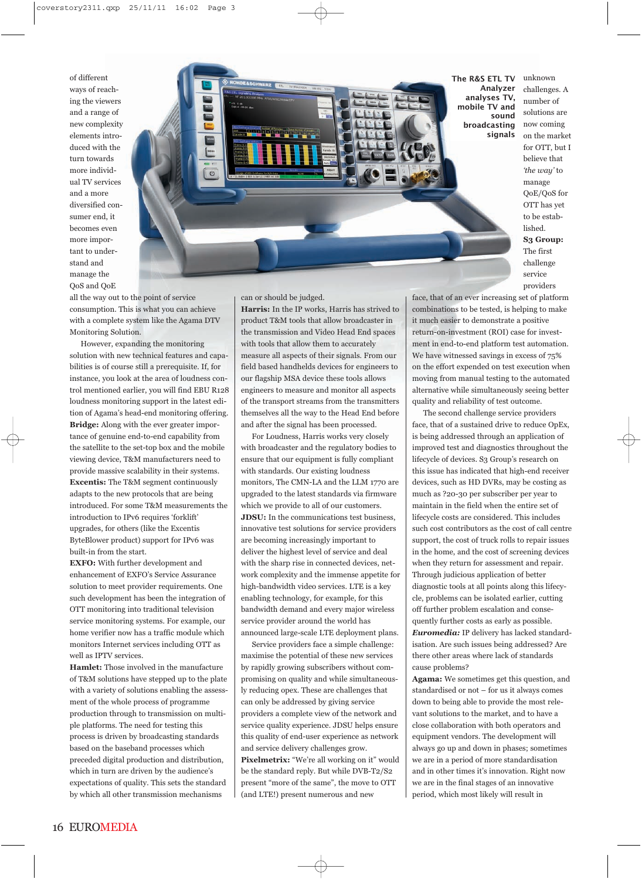of different ways of reaching the viewers and a range of new complexity elements introduced with the turn towards more individual TV services and a more diversified consumer end, it becomes even more important to understand and manage the QoS and QoE



unknown challenges. A number of solutions are now coming on the market for OTT, but I believe that *'the way'* to manage QoE/QoS for OTT has yet to be established. **S3 Group:** The first challenge service providers

all the way out to the point of service consumption. This is what you can achieve with a complete system like the Agama DTV Monitoring Solution.

However, expanding the monitoring solution with new technical features and capabilities is of course still a prerequisite. If, for instance, you look at the area of loudness control mentioned earlier, you will find EBU R128 loudness monitoring support in the latest edition of Agama's head-end monitoring offering. **Bridge:** Along with the ever greater importance of genuine end-to-end capability from the satellite to the set-top box and the mobile viewing device, T&M manufacturers need to provide massive scalability in their systems. **Excentis:** The T&M segment continuously adapts to the new protocols that are being introduced. For some T&M measurements the introduction to IPv6 requires 'forklift' upgrades, for others (like the Excentis ByteBlower product) support for IPv6 was built-in from the start.

**EXFO:** With further development and enhancement of EXFO's Service Assurance solution to meet provider requirements. One such development has been the integration of OTT monitoring into traditional television service monitoring systems. For example, our home verifier now has a traffic module which monitors Internet services including OTT as well as IPTV services.

**Hamlet:** Those involved in the manufacture of T&M solutions have stepped up to the plate with a variety of solutions enabling the assessment of the whole process of programme production through to transmission on multiple platforms. The need for testing this process is driven by broadcasting standards based on the baseband processes which preceded digital production and distribution, which in turn are driven by the audience's expectations of quality. This sets the standard by which all other transmission mechanisms

can or should be judged.

**Harris:** In the IP works, Harris has strived to product T&M tools that allow broadcaster in the transmission and Video Head End spaces with tools that allow them to accurately measure all aspects of their signals. From our field based handhelds devices for engineers to our flagship MSA device these tools allows engineers to measure and monitor all aspects of the transport streams from the transmitters themselves all the way to the Head End before and after the signal has been processed.

For Loudness, Harris works very closely with broadcaster and the regulatory bodies to ensure that our equipment is fully compliant with standards. Our existing loudness monitors, The CMN-LA and the LLM 1770 are upgraded to the latest standards via firmware which we provide to all of our customers. **JDSU:** In the communications test business, innovative test solutions for service providers are becoming increasingly important to deliver the highest level of service and deal with the sharp rise in connected devices, network complexity and the immense appetite for high-bandwidth video services. LTE is a key enabling technology, for example, for this bandwidth demand and every major wireless service provider around the world has announced large-scale LTE deployment plans.

Service providers face a simple challenge: maximise the potential of these new services by rapidly growing subscribers without compromising on quality and while simultaneously reducing opex. These are challenges that can only be addressed by giving service providers a complete view of the network and service quality experience. JDSU helps ensure this quality of end-user experience as network and service delivery challenges grow. Pixelmetrix: "We're all working on it" would be the standard reply. But while DVB-T2/S2 present "more of the same", the move to OTT (and LTE!) present numerous and new

face, that of an ever increasing set of platform combinations to be tested, is helping to make it much easier to demonstrate a positive return-on-investment (ROI) case for investment in end-to-end platform test automation. We have witnessed savings in excess of 75% on the effort expended on test execution when moving from manual testing to the automated alternative while simultaneously seeing better quality and reliability of test outcome.

The second challenge service providers face, that of a sustained drive to reduce OpEx, is being addressed through an application of improved test and diagnostics throughout the lifecycle of devices. S3 Group's research on this issue has indicated that high-end receiver devices, such as HD DVRs, may be costing as much as ?20-30 per subscriber per year to maintain in the field when the entire set of lifecycle costs are considered. This includes such cost contributors as the cost of call centre support, the cost of truck rolls to repair issues in the home, and the cost of screening devices when they return for assessment and repair. Through judicious application of better diagnostic tools at all points along this lifecycle, problems can be isolated earlier, cutting off further problem escalation and consequently further costs as early as possible. *Euromedia:* IP delivery has lacked standardisation. Are such issues being addressed? Are there other areas where lack of standards cause problems?

**Agama:** We sometimes get this question, and standardised or not – for us it always comes down to being able to provide the most relevant solutions to the market, and to have a close collaboration with both operators and equipment vendors. The development will always go up and down in phases; sometimes we are in a period of more standardisation and in other times it's innovation. Right now we are in the final stages of an innovative period, which most likely will result in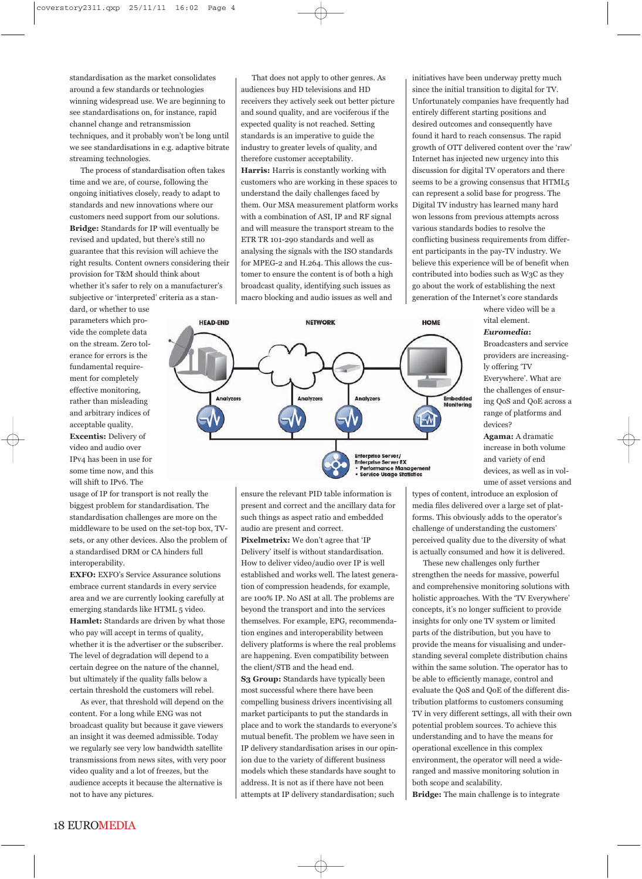standardisation as the market consolidates around a few standards or technologies winning widespread use. We are beginning to see standardisations on, for instance, rapid channel change and retransmission techniques, and it probably won't be long until we see standardisations in e.g. adaptive bitrate streaming technologies.

The process of standardisation often takes time and we are, of course, following the ongoing initiatives closely, ready to adapt to standards and new innovations where our customers need support from our solutions. **Bridge:** Standards for IP will eventually be revised and updated, but there's still no guarantee that this revision will achieve the right results. Content owners considering their provision for T&M should think about whether it's safer to rely on a manufacturer's subjective or 'interpreted' criteria as a stan-

dard, or whether to use parameters which provide the complete data on the stream. Zero tolerance for errors is the fundamental requirement for completely effective monitoring, rather than misleading and arbitrary indices of acceptable quality. **Excentis:** Delivery of video and audio over IPv4 has been in use for some time now, and this will shift to IPv6. The

usage of IP for transport is not really the biggest problem for standardisation. The standardisation challenges are more on the middleware to be used on the set-top box, TVsets, or any other devices. Also the problem of a standardised DRM or CA hinders full interoperability.

**EXFO:** EXFO's Service Assurance solutions embrace current standards in every service area and we are currently looking carefully at emerging standards like HTML 5 video. **Hamlet:** Standards are driven by what those who pay will accept in terms of quality, whether it is the advertiser or the subscriber. The level of degradation will depend to a certain degree on the nature of the channel, but ultimately if the quality falls below a certain threshold the customers will rebel.

As ever, that threshold will depend on the content. For a long while ENG was not broadcast quality but because it gave viewers an insight it was deemed admissible. Today we regularly see very low bandwidth satellite transmissions from news sites, with very poor video quality and a lot of freezes, but the audience accepts it because the alternative is not to have any pictures.

That does not apply to other genres. As audiences buy HD televisions and HD receivers they actively seek out better picture and sound quality, and are vociferous if the expected quality is not reached. Setting standards is an imperative to guide the industry to greater levels of quality, and therefore customer acceptability. **Harris:** Harris is constantly working with customers who are working in these spaces to understand the daily challenges faced by them. Our MSA measurement platform works with a combination of ASI, IP and RF signal and will measure the transport stream to the ETR TR 101-290 standards and well as analysing the signals with the ISO standards for MPEG-2 and H.264. This allows the customer to ensure the content is of both a high broadcast quality, identifying such issues as macro blocking and audio issues as well and

initiatives have been underway pretty much since the initial transition to digital for TV. Unfortunately companies have frequently had entirely different starting positions and desired outcomes and consequently have found it hard to reach consensus. The rapid growth of OTT delivered content over the 'raw' Internet has injected new urgency into this discussion for digital TV operators and there seems to be a growing consensus that HTML5 can represent a solid base for progress. The Digital TV industry has learned many hard won lessons from previous attempts across various standards bodies to resolve the conflicting business requirements from different participants in the pay-TV industry. We believe this experience will be of benefit when contributed into bodies such as W3C as they go about the work of establishing the next generation of the Internet's core standards

> where video will be a vital element.

*Euromedia***:**

Broadcasters and service providers are increasingly offering 'TV Everywhere'. What are the challenges of ensuring QoS and QoE across a range of platforms and devices?

**Agama:** A dramatic increase in both volume and variety of end devices, as well as in volume of asset versions and

types of content, introduce an explosion of media files delivered over a large set of platforms. This obviously adds to the operator's challenge of understanding the customers' perceived quality due to the diversity of what is actually consumed and how it is delivered.

These new challenges only further strengthen the needs for massive, powerful and comprehensive monitoring solutions with holistic approaches. With the 'TV Everywhere' concepts, it's no longer sufficient to provide insights for only one TV system or limited parts of the distribution, but you have to provide the means for visualising and understanding several complete distribution chains within the same solution. The operator has to be able to efficiently manage, control and evaluate the QoS and QoE of the different distribution platforms to customers consuming TV in very different settings, all with their own potential problem sources. To achieve this understanding and to have the means for operational excellence in this complex environment, the operator will need a wideranged and massive monitoring solution in both scope and scalability.

**Bridge:** The main challenge is to integrate



ensure the relevant PID table information is present and correct and the ancillary data for such things as aspect ratio and embedded audio are present and correct.

**Pixelmetrix:** We don't agree that 'IP Delivery' itself is without standardisation. How to deliver video/audio over IP is well established and works well. The latest generation of compression headends, for example, are 100% IP. No ASI at all. The problems are beyond the transport and into the services themselves. For example, EPG, recommendation engines and interoperability between delivery platforms is where the real problems are happening. Even compatibility between the client/STB and the head end. **S3 Group:** Standards have typically been most successful where there have been compelling business drivers incentivising all market participants to put the standards in place and to work the standards to everyone's mutual benefit. The problem we have seen in IP delivery standardisation arises in our opinion due to the variety of different business models which these standards have sought to address. It is not as if there have not been attempts at IP delivery standardisation; such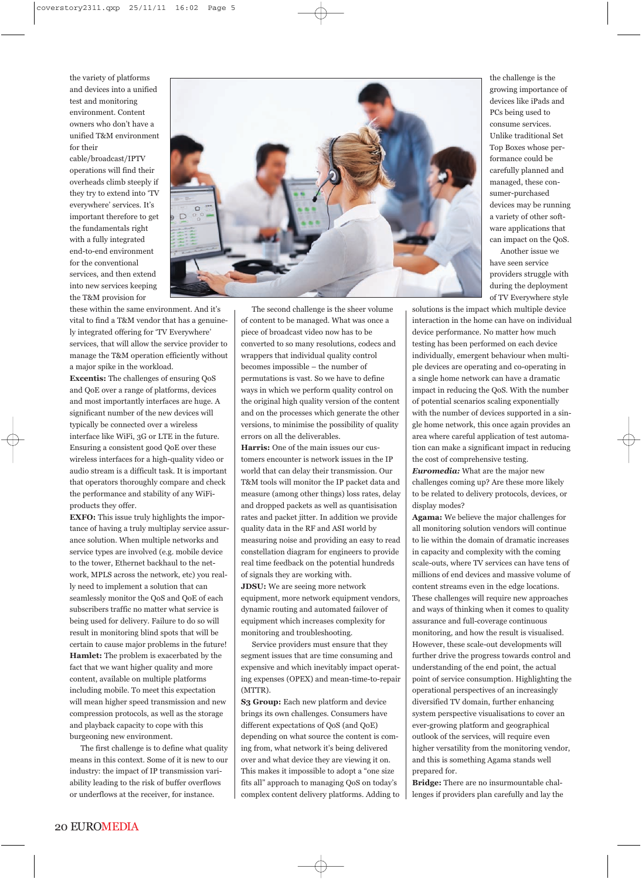the variety of platforms and devices into a unified test and monitoring environment. Content owners who don't have a unified T&M environment for their

cable/broadcast/IPTV operations will find their overheads climb steeply if they try to extend into 'TV everywhere' services. It's important therefore to get the fundamentals right with a fully integrated end-to-end environment for the conventional services, and then extend into new services keeping the T&M provision for



these within the same environment. And it's vital to find a T&M vendor that has a genuinely integrated offering for 'TV Everywhere' services, that will allow the service provider to manage the T&M operation efficiently without a major spike in the workload.

**Excentis:** The challenges of ensuring QoS and QoE over a range of platforms, devices and most importantly interfaces are huge. A significant number of the new devices will typically be connected over a wireless interface like WiFi, 3G or LTE in the future. Ensuring a consistent good QoE over these wireless interfaces for a high-quality video or audio stream is a difficult task. It is important that operators thoroughly compare and check the performance and stability of any WiFiproducts they offer.

**EXFO:** This issue truly highlights the importance of having a truly multiplay service assurance solution. When multiple networks and service types are involved (e.g. mobile device to the tower, Ethernet backhaul to the network, MPLS across the network, etc) you really need to implement a solution that can seamlessly monitor the QoS and QoE of each subscribers traffic no matter what service is being used for delivery. Failure to do so will result in monitoring blind spots that will be certain to cause major problems in the future! **Hamlet:** The problem is exacerbated by the fact that we want higher quality and more content, available on multiple platforms including mobile. To meet this expectation will mean higher speed transmission and new compression protocols, as well as the storage and playback capacity to cope with this burgeoning new environment.

The first challenge is to define what quality means in this context. Some of it is new to our industry: the impact of IP transmission variability leading to the risk of buffer overflows or underflows at the receiver, for instance.

The second challenge is the sheer volume of content to be managed. What was once a piece of broadcast video now has to be converted to so many resolutions, codecs and wrappers that individual quality control becomes impossible – the number of permutations is vast. So we have to define ways in which we perform quality control on the original high quality version of the content and on the processes which generate the other versions, to minimise the possibility of quality errors on all the deliverables.

**Harris:** One of the main issues our customers encounter is network issues in the IP world that can delay their transmission. Our T&M tools will monitor the IP packet data and measure (among other things) loss rates, delay and dropped packets as well as quantisisation rates and packet jitter. In addition we provide quality data in the RF and ASI world by measuring noise and providing an easy to read constellation diagram for engineers to provide real time feedback on the potential hundreds of signals they are working with. **JDSU:** We are seeing more network equipment, more network equipment vendors, dynamic routing and automated failover of equipment which increases complexity for monitoring and troubleshooting.

Service providers must ensure that they segment issues that are time consuming and expensive and which inevitably impact operating expenses (OPEX) and mean-time-to-repair (MTTR).

**S3 Group:** Each new platform and device brings its own challenges. Consumers have different expectations of QoS (and QoE) depending on what source the content is coming from, what network it's being delivered over and what device they are viewing it on. This makes it impossible to adopt a "one size fits all" approach to managing QoS on today's complex content delivery platforms. Adding to

the challenge is the growing importance of devices like iPads and PCs being used to consume services. Unlike traditional Set Top Boxes whose performance could be carefully planned and managed, these consumer-purchased devices may be running a variety of other software applications that can impact on the QoS. Another issue we

have seen service providers struggle with during the deployment of TV Everywhere style

solutions is the impact which multiple device interaction in the home can have on individual device performance. No matter how much testing has been performed on each device individually, emergent behaviour when multiple devices are operating and co-operating in a single home network can have a dramatic impact in reducing the QoS. With the number of potential scenarios scaling exponentially with the number of devices supported in a single home network, this once again provides an area where careful application of test automation can make a significant impact in reducing the cost of comprehensive testing.

*Euromedia:* What are the major new challenges coming up? Are these more likely to be related to delivery protocols, devices, or display modes?

**Agama:** We believe the major challenges for all monitoring solution vendors will continue to lie within the domain of dramatic increases in capacity and complexity with the coming scale-outs, where TV services can have tens of millions of end devices and massive volume of content streams even in the edge locations. These challenges will require new approaches and ways of thinking when it comes to quality assurance and full-coverage continuous monitoring, and how the result is visualised. However, these scale-out developments will further drive the progress towards control and understanding of the end point, the actual point of service consumption. Highlighting the operational perspectives of an increasingly diversified TV domain, further enhancing system perspective visualisations to cover an ever-growing platform and geographical outlook of the services, will require even higher versatility from the monitoring vendor, and this is something Agama stands well prepared for.

**Bridge:** There are no insurmountable challenges if providers plan carefully and lay the